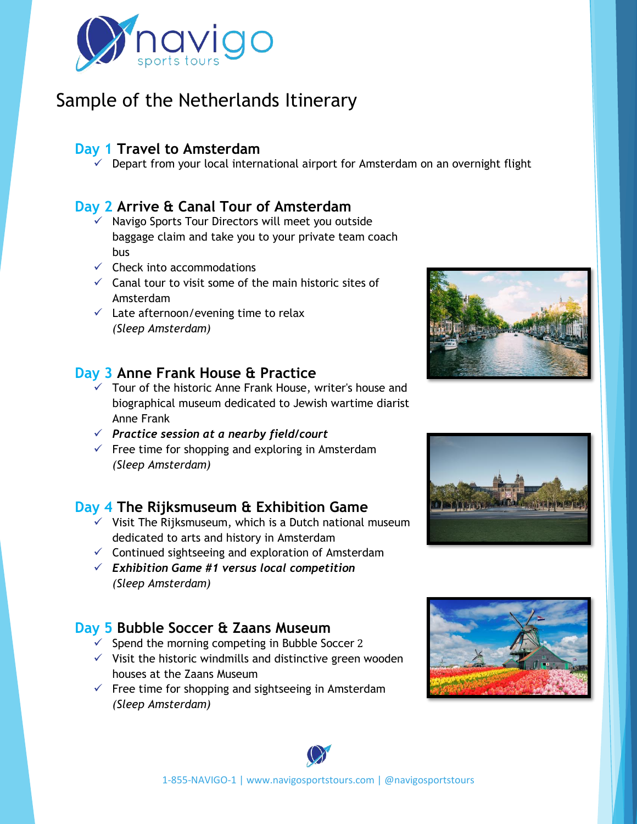

# Sample of the Netherlands Itinerary

### **Day 1 Travel to Amsterdam**

 $\checkmark$  Depart from your local international airport for Amsterdam on an overnight flight

#### **Day 2 Arrive & Canal Tour of Amsterdam**

- $\checkmark$  Navigo Sports Tour Directors will meet you outside baggage claim and take you to your private team coach bus
- $\checkmark$  Check into accommodations
- $\checkmark$  Canal tour to visit some of the main historic sites of Amsterdam
- $\checkmark$  Late afternoon/evening time to relax *(Sleep Amsterdam)*

#### **Day 3 Anne Frank House & Practice**

- $\checkmark$  Tour of the historic Anne Frank House, writer's house and biographical museum dedicated to Jewish wartime diarist Anne Frank
- ✓ *Practice session at a nearby field/court*
- $\checkmark$  Free time for shopping and exploring in Amsterdam *(Sleep Amsterdam)*

### **Day 4 The Rijksmuseum & Exhibition Game**

- $\checkmark$  Visit The Rijksmuseum, which is a Dutch national museum dedicated to arts and history in Amsterdam
- $\checkmark$  Continued sightseeing and exploration of Amsterdam
- ✓ *Exhibition Game #1 versus local competition (Sleep Amsterdam)*

### **Day 5 Bubble Soccer & Zaans Museum**

- $\checkmark$  Spend the morning competing in Bubble Soccer 2
- $\checkmark$  Visit the historic windmills and distinctive green wooden houses at the Zaans Museum
- $\checkmark$  Free time for shopping and sightseeing in Amsterdam *(Sleep Amsterdam)*